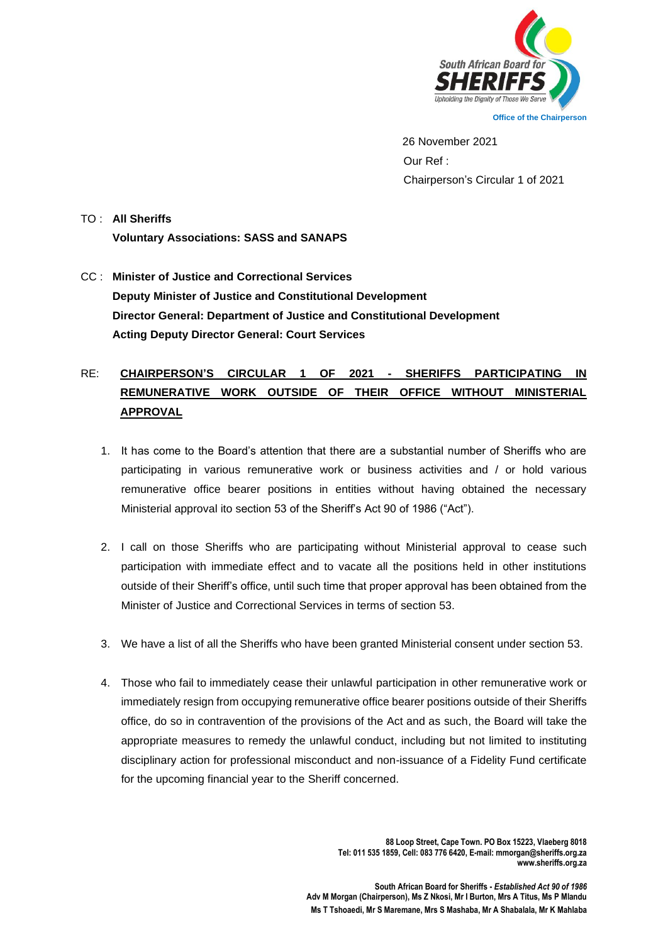

 26 November 2021 Our Ref : Chairperson's Circular 1 of 2021

## TO : **All Sheriffs Voluntary Associations: SASS and SANAPS**

CC : **Minister of Justice and Correctional Services Deputy Minister of Justice and Constitutional Development Director General: Department of Justice and Constitutional Development Acting Deputy Director General: Court Services** 

## RE: **CHAIRPERSON'S CIRCULAR 1 OF 2021 - SHERIFFS PARTICIPATING IN REMUNERATIVE WORK OUTSIDE OF THEIR OFFICE WITHOUT MINISTERIAL APPROVAL**

- 1. It has come to the Board's attention that there are a substantial number of Sheriffs who are participating in various remunerative work or business activities and / or hold various remunerative office bearer positions in entities without having obtained the necessary Ministerial approval ito section 53 of the Sheriff's Act 90 of 1986 ("Act").
- 2. I call on those Sheriffs who are participating without Ministerial approval to cease such participation with immediate effect and to vacate all the positions held in other institutions outside of their Sheriff's office, until such time that proper approval has been obtained from the Minister of Justice and Correctional Services in terms of section 53.
- 3. We have a list of all the Sheriffs who have been granted Ministerial consent under section 53.
- 4. Those who fail to immediately cease their unlawful participation in other remunerative work or immediately resign from occupying remunerative office bearer positions outside of their Sheriffs office, do so in contravention of the provisions of the Act and as such, the Board will take the appropriate measures to remedy the unlawful conduct, including but not limited to instituting disciplinary action for professional misconduct and non-issuance of a Fidelity Fund certificate for the upcoming financial year to the Sheriff concerned.

**88 Loop Street, Cape Town. PO Box 15223, Vlaeberg 8018 Tel: 011 535 1859, Cell: 083 776 6420, E-mail: mmorgan@sheriffs.org.za www.sheriffs.org.za**